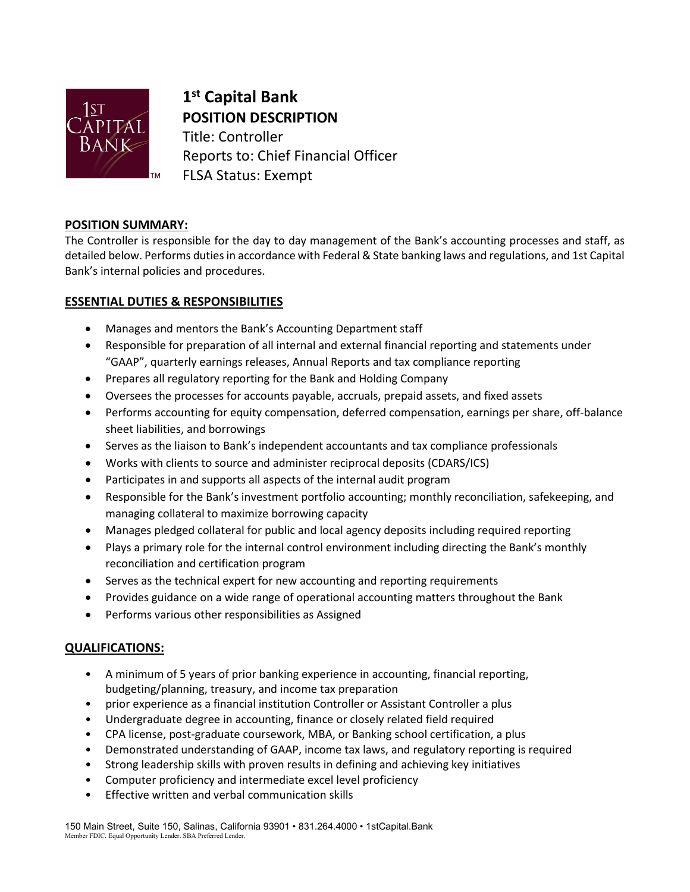

**1st Capital Bank POSITION DESCRIPTION** Title: Controller Reports to: Chief Financial Officer FLSA Status: Exempt

## **POSITION SUMMARY:**

The Controller is responsible for the day to day management of the Bank's accounting processes and staff, as detailed below. Performs duties in accordance with Federal & State banking laws and regulations, and 1st Capital Bank's internal policies and procedures.

# **ESSENTIAL DUTIES & RESPONSIBILITIES**

- Manages and mentors the Bank's Accounting Department staff
- Responsible for preparation of all internal and external financial reporting and statements under "GAAP", quarterly earnings releases, Annual Reports and tax compliance reporting
- Prepares all regulatory reporting for the Bank and Holding Company
- Oversees the processes for accounts payable, accruals, prepaid assets, and fixed assets
- Performs accounting for equity compensation, deferred compensation, earnings per share, off-balance sheet liabilities, and borrowings
- Serves as the liaison to Bank's independent accountants and tax compliance professionals
- Works with clients to source and administer reciprocal deposits (CDARS/ICS)
- Participates in and supports all aspects of the internal audit program
- Responsible for the Bank's investment portfolio accounting; monthly reconciliation, safekeeping, and managing collateral to maximize borrowing capacity
- Manages pledged collateral for public and local agency deposits including required reporting
- Plays a primary role for the internal control environment including directing the Bank's monthly reconciliation and certification program
- Serves as the technical expert for new accounting and reporting requirements
- Provides guidance on a wide range of operational accounting matters throughout the Bank
- Performs various other responsibilities as Assigned

## **QUALIFICATIONS:**

- A minimum of 5 years of prior banking experience in accounting, financial reporting, budgeting/planning, treasury, and income tax preparation
- prior experience as a financial institution Controller or Assistant Controller a plus
- Undergraduate degree in accounting, finance or closely related field required
- CPA license, post-graduate coursework, MBA, or Banking school certification, a plus
- Demonstrated understanding of GAAP, income tax laws, and regulatory reporting is required
- Strong leadership skills with proven results in defining and achieving key initiatives
- Computer proficiency and intermediate excel level proficiency
- Effective written and verbal communication skills

150 Main Street, Suite 150, Salinas, California 93901 • 831.264.4000 • 1stCapital.Bank Member FDIC. Equal Opportunity Lender. SBA Preferred Lender.